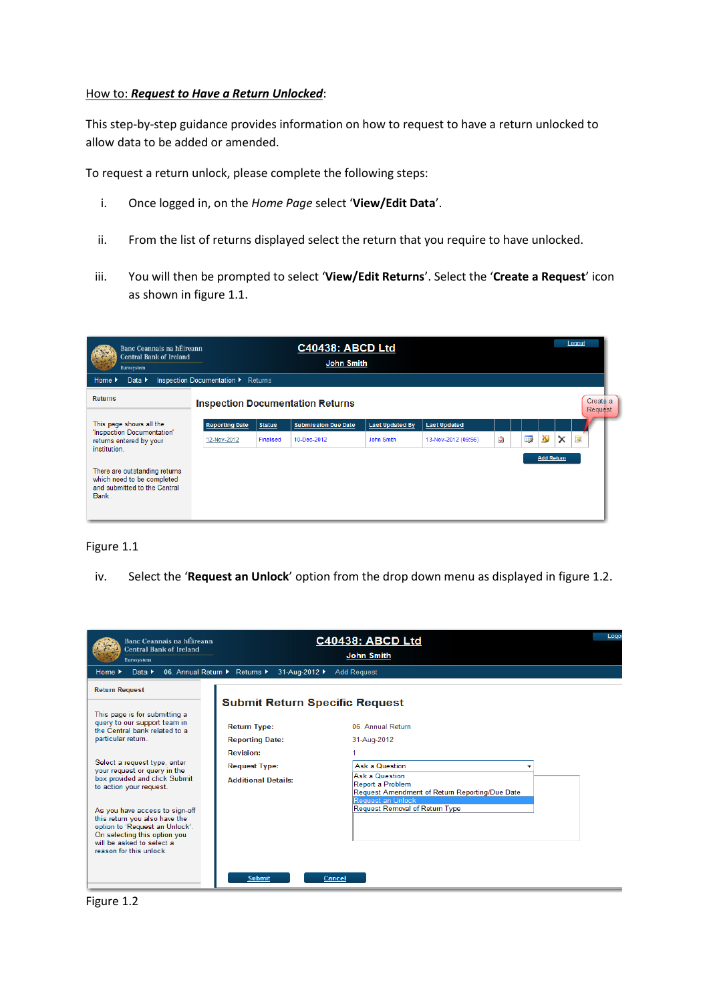## How to: *Request to Have a Return Unlocked*:

This step-by-step guidance provides information on how to request to have a return unlocked to allow data to be added or amended.

To request a return unlock, please complete the following steps:

- i. Once logged in, on the *Home Page* select '**View/Edit Data**'.
- ii. From the list of returns displayed select the return that you require to have unlocked.
- iii. You will then be prompted to select '**View/Edit Returns**'. Select the '**Create a Request**' icon as shown in figure 1.1.

| Banc Ceannais na hÉireann<br><b>Central Bank of Ireland</b><br>Eurosystem                            |                                    |               | <b>C40438: ABCD Ltd</b><br><b>John Smith</b> |                        |                     |   |    |                   |          | Logout              |
|------------------------------------------------------------------------------------------------------|------------------------------------|---------------|----------------------------------------------|------------------------|---------------------|---|----|-------------------|----------|---------------------|
| Data $\blacktriangleright$<br>Home $\blacktriangleright$                                             | Inspection Documentation > Returns |               |                                              |                        |                     |   |    |                   |          |                     |
| <b>Returns</b>                                                                                       |                                    |               | <b>Inspection Documentation Returns</b>      |                        |                     |   |    |                   |          | Create a<br>Request |
| This page shows all the                                                                              | <b>Reporting Date</b>              | <b>Status</b> | <b>Submission Due Date</b>                   | <b>Last Updated By</b> | <b>Last Updated</b> |   |    |                   |          |                     |
| 'Inspection Documentation'<br>returns entered by your<br>institution.                                | 12-Nov-2012                        | Finalised     | 10-Dec-2012                                  | John Smith             | 13-Nov-2012 (09:56) | Э | 52 | X,                | $\times$ | Ξ                   |
| There are outstanding returns<br>which need to be completed<br>and submitted to the Central<br>Bank. |                                    |               |                                              |                        |                     |   |    | <b>Add Return</b> |          |                     |

## Figure 1.1

iv. Select the '**Request an Unlock**' option from the drop down menu as displayed in figure 1.2.

| Banc Ceannais na hÉireann<br><b>Central Bank of Ireland</b><br>Eurosystem                                                                                                                                            |                                                                        | <b>C40438: ABCD Ltd</b><br><b>John Smith</b>                                                                                     | Logo |
|----------------------------------------------------------------------------------------------------------------------------------------------------------------------------------------------------------------------|------------------------------------------------------------------------|----------------------------------------------------------------------------------------------------------------------------------|------|
| Data $\blacktriangleright$<br>Home $\blacktriangleright$                                                                                                                                                             | 31-Aug-2012 ▶<br>06. Annual Return ▶ Returns ▶                         | <b>Add Request</b>                                                                                                               |      |
| <b>Return Request</b><br>This page is for submitting a                                                                                                                                                               |                                                                        | <b>Submit Return Specific Request</b>                                                                                            |      |
| query to our support team in<br>the Central bank related to a<br>particular return.                                                                                                                                  | <b>Return Type:</b><br><b>Reporting Date:</b>                          | 06 Annual Return<br>31-Aug-2012                                                                                                  |      |
| Select a request type, enter<br>your request or query in the<br>box provided and click Submit                                                                                                                        | <b>Revision:</b><br><b>Request Type:</b><br><b>Additional Details:</b> | <b>Ask a Question</b><br><b>Ask a Question</b>                                                                                   |      |
| to action your request.<br>As you have access to sign-off<br>this return you also have the<br>option to 'Request an Unlock'.<br>On selecting this option you<br>will be asked to select a<br>reason for this unlock. |                                                                        | Report a Problem<br>Request Amendment of Return Reporting/Due Date<br>Request an Unlock<br><b>Request Removal of Return Type</b> |      |
|                                                                                                                                                                                                                      | <b>Submit</b>                                                          | Cancel                                                                                                                           |      |

Figure 1.2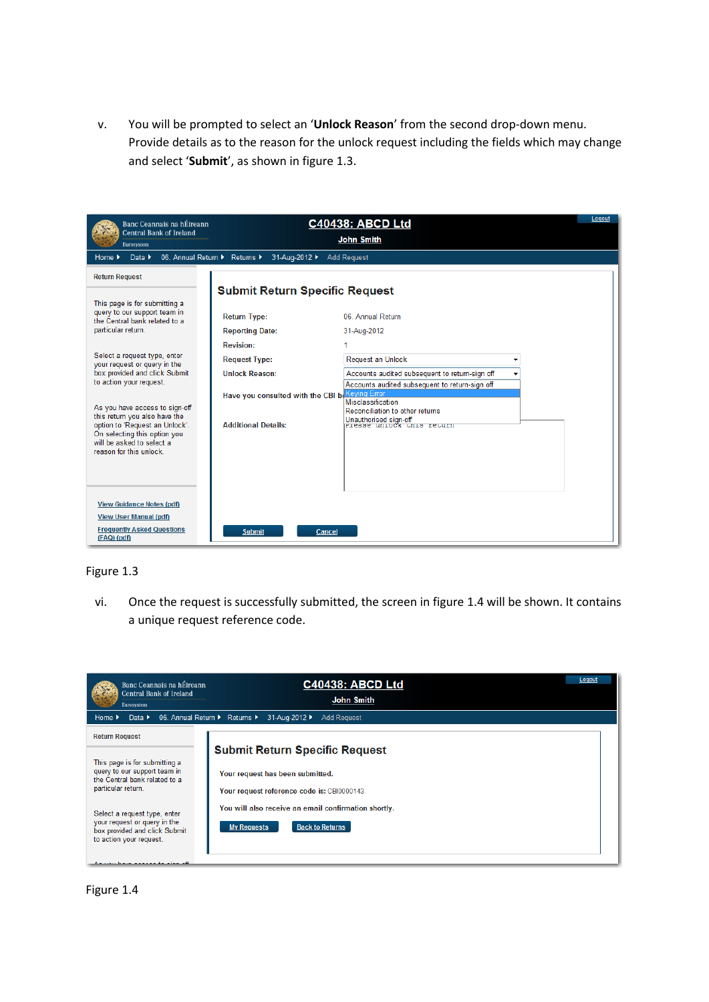v. You will be prompted to select an '**Unlock Reason**' from the second drop-down menu. Provide details as to the reason for the unlock request including the fields which may change and select '**Submit**', as shown in figure 1.3.

| Banc Ceannais na hÉireann<br><b>Central Bank of Ireland</b><br>Eurosystem                                                                                                                                                                                                                                                                                                                                                                     | <b>C40438: ABCD Ltd</b><br><b>John Smith</b>                                                                                                                                                                                                                                                                                                                                                                                                                                   | Logout |
|-----------------------------------------------------------------------------------------------------------------------------------------------------------------------------------------------------------------------------------------------------------------------------------------------------------------------------------------------------------------------------------------------------------------------------------------------|--------------------------------------------------------------------------------------------------------------------------------------------------------------------------------------------------------------------------------------------------------------------------------------------------------------------------------------------------------------------------------------------------------------------------------------------------------------------------------|--------|
| 06. Annual Return ▶ Returns ▶<br>Data $\blacktriangleright$<br>Home $\blacktriangleright$                                                                                                                                                                                                                                                                                                                                                     | 31-Aug-2012 ▶<br><b>Add Request</b>                                                                                                                                                                                                                                                                                                                                                                                                                                            |        |
| <b>Return Request</b>                                                                                                                                                                                                                                                                                                                                                                                                                         | <b>Submit Return Specific Request</b>                                                                                                                                                                                                                                                                                                                                                                                                                                          |        |
| This page is for submitting a<br>query to our support team in<br>the Central bank related to a<br>particular return.<br>Select a request type, enter<br>your request or query in the<br>box provided and click Submit<br>to action your request.<br>As you have access to sign-off<br>this return you also have the<br>option to 'Request an Unlock'.<br>On selecting this option you<br>will be asked to select a<br>reason for this unlock. | 06. Annual Return<br><b>Return Type:</b><br><b>Reporting Date:</b><br>31-Aug-2012<br><b>Revision:</b><br><b>Request Type:</b><br>Request an Unlock<br><b>Unlock Reason:</b><br>Accounts audited subsequent to return-sign off<br>Accounts audited subsequent to return-sign off<br>Have you consulted with the CBI be Keying Error<br>Misclassification<br>Reconciliation to other returns<br>Unauthorised sign-off<br>Frease unrock this return<br><b>Additional Details:</b> |        |
| <b>View Guidance Notes (pdf)</b><br><b>View User Manual (pdf)</b><br><b>Frequently Asked Questions</b><br>(FAQ) (pdf)                                                                                                                                                                                                                                                                                                                         | <b>Submit</b><br>Cancel                                                                                                                                                                                                                                                                                                                                                                                                                                                        |        |

## Figure 1.3

vi. Once the request is successfully submitted, the screen in figure 1.4 will be shown. It contains a unique request reference code.

| Banc Ceannais na hÉireann<br><b>Central Bank of Ireland</b><br>Eurosystem                                                | Logout<br><b>C40438: ABCD Ltd</b><br><b>John Smith</b>                                                                  |
|--------------------------------------------------------------------------------------------------------------------------|-------------------------------------------------------------------------------------------------------------------------|
| Data $\blacktriangleright$<br>Home $\blacktriangleright$                                                                 | 06. Annual Return ▶ Returns ▶<br>31-Aug-2012 ▶<br><b>Add Request</b>                                                    |
| <b>Return Request</b>                                                                                                    |                                                                                                                         |
| This page is for submitting a<br>query to our support team in<br>the Central bank related to a<br>particular return.     | <b>Submit Return Specific Request</b><br>Your request has been submitted.<br>Your request reference code is: CBI0000143 |
| Select a request type, enter<br>your request or query in the<br>box provided and click Submit<br>to action your request. | You will also receive an email confirmation shortly.<br><b>Back to Returns</b><br><b>My Requests</b>                    |
| A concertainty concertaint about all                                                                                     |                                                                                                                         |